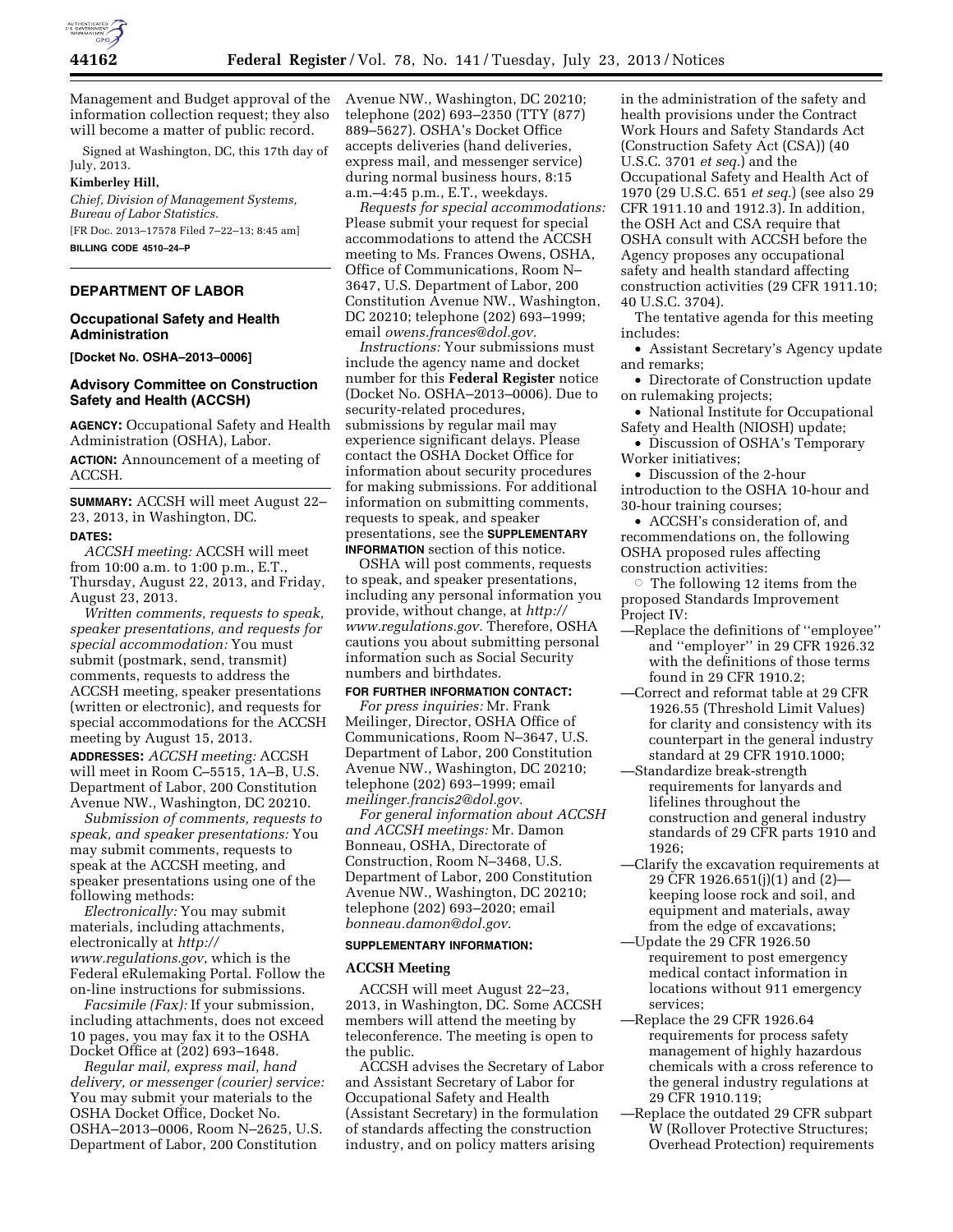

Management and Budget approval of the information collection request; they also will become a matter of public record.

Signed at Washington, DC, this 17th day of July, 2013.

#### **Kimberley Hill,**

*Chief, Division of Management Systems, Bureau of Labor Statistics.*  [FR Doc. 2013–17578 Filed 7–22–13; 8:45 am]

**BILLING CODE 4510–24–P** 

# **DEPARTMENT OF LABOR**

## **Occupational Safety and Health Administration**

**[Docket No. OSHA–2013–0006]** 

# **Advisory Committee on Construction Safety and Health (ACCSH)**

**AGENCY:** Occupational Safety and Health Administration (OSHA), Labor.

**ACTION:** Announcement of a meeting of ACCSH.

**SUMMARY:** ACCSH will meet August 22– 23, 2013, in Washington, DC. **DATES:**

*ACCSH meeting:* ACCSH will meet from 10:00 a.m. to 1:00 p.m., E.T., Thursday, August 22, 2013, and Friday, August 23, 2013.

*Written comments, requests to speak, speaker presentations, and requests for special accommodation:* You must submit (postmark, send, transmit) comments, requests to address the ACCSH meeting, speaker presentations (written or electronic), and requests for special accommodations for the ACCSH meeting by August 15, 2013.

**ADDRESSES:** *ACCSH meeting:* ACCSH will meet in Room C–5515, 1A–B, U.S. Department of Labor, 200 Constitution Avenue NW., Washington, DC 20210.

*Submission of comments, requests to speak, and speaker presentations:* You may submit comments, requests to speak at the ACCSH meeting, and speaker presentations using one of the following methods:

*Electronically:* You may submit materials, including attachments, electronically at *[http://](http://www.regulations.gov) [www.regulations.gov](http://www.regulations.gov)*, which is the Federal eRulemaking Portal. Follow the on-line instructions for submissions.

*Facsimile (Fax):* If your submission, including attachments, does not exceed 10 pages, you may fax it to the OSHA Docket Office at (202) 693–1648.

*Regular mail, express mail, hand delivery, or messenger (courier) service:*  You may submit your materials to the OSHA Docket Office, Docket No. OSHA–2013–0006, Room N–2625, U.S. Department of Labor, 200 Constitution

Avenue NW., Washington, DC 20210; telephone (202) 693–2350 (TTY (877) 889–5627). OSHA's Docket Office accepts deliveries (hand deliveries, express mail, and messenger service) during normal business hours, 8:15 a.m.–4:45 p.m., E.T., weekdays.

*Requests for special accommodations:*  Please submit your request for special accommodations to attend the ACCSH meeting to Ms. Frances Owens, OSHA, Office of Communications, Room N– 3647, U.S. Department of Labor, 200 Constitution Avenue NW., Washington, DC 20210; telephone (202) 693–1999; email *[owens.frances@dol.gov.](mailto:owens.frances@dol.gov)* 

*Instructions:* Your submissions must include the agency name and docket number for this **Federal Register** notice (Docket No. OSHA–2013–0006). Due to security-related procedures, submissions by regular mail may experience significant delays. Please contact the OSHA Docket Office for information about security procedures for making submissions. For additional information on submitting comments, requests to speak, and speaker presentations, see the **SUPPLEMENTARY INFORMATION** section of this notice.

OSHA will post comments, requests to speak, and speaker presentations, including any personal information you provide, without change, at *[http://](http://www.regulations.gov) [www.regulations.gov.](http://www.regulations.gov)* Therefore, OSHA cautions you about submitting personal information such as Social Security numbers and birthdates.

## **FOR FURTHER INFORMATION CONTACT:**

*For press inquiries:* Mr. Frank Meilinger, Director, OSHA Office of Communications, Room N–3647, U.S. Department of Labor, 200 Constitution Avenue NW., Washington, DC 20210; telephone (202) 693–1999; email *[meilinger.francis2@dol.gov.](mailto:meilinger.francis2@dol.gov)* 

*For general information about ACCSH and ACCSH meetings:* Mr. Damon Bonneau, OSHA, Directorate of Construction, Room N–3468, U.S. Department of Labor, 200 Constitution Avenue NW., Washington, DC 20210; telephone (202) 693–2020; email *[bonneau.damon@dol.gov](mailto:bonneau.damon@dol.gov)*.

## **SUPPLEMENTARY INFORMATION:**

#### **ACCSH Meeting**

ACCSH will meet August 22–23, 2013, in Washington, DC. Some ACCSH members will attend the meeting by teleconference. The meeting is open to the public.

ACCSH advises the Secretary of Labor and Assistant Secretary of Labor for Occupational Safety and Health (Assistant Secretary) in the formulation of standards affecting the construction industry, and on policy matters arising

in the administration of the safety and health provisions under the Contract Work Hours and Safety Standards Act (Construction Safety Act (CSA)) (40 U.S.C. 3701 *et seq.*) and the Occupational Safety and Health Act of 1970 (29 U.S.C. 651 *et seq.*) (see also 29 CFR 1911.10 and 1912.3). In addition, the OSH Act and CSA require that OSHA consult with ACCSH before the Agency proposes any occupational safety and health standard affecting construction activities (29 CFR 1911.10; 40 U.S.C. 3704).

The tentative agenda for this meeting includes:

• Assistant Secretary's Agency update and remarks;

• Directorate of Construction update on rulemaking projects;

- National Institute for Occupational Safety and Health (NIOSH) update;
- Discussion of OSHA's Temporary Worker initiatives;

• Discussion of the 2-hour introduction to the OSHA 10-hour and 30-hour training courses;

• ACCSH's consideration of, and recommendations on, the following OSHA proposed rules affecting construction activities:

 $\circ$  The following 12 items from the proposed Standards Improvement Project IV:

- —Replace the definitions of ''employee'' and ''employer'' in 29 CFR 1926.32 with the definitions of those terms found in 29 CFR 1910.2;
- —Correct and reformat table at 29 CFR 1926.55 (Threshold Limit Values) for clarity and consistency with its counterpart in the general industry standard at 29 CFR 1910.1000;
- —Standardize break-strength requirements for lanyards and lifelines throughout the construction and general industry standards of 29 CFR parts 1910 and 1926;
- —Clarify the excavation requirements at 29 CFR 1926.651(j)(1) and (2) keeping loose rock and soil, and equipment and materials, away from the edge of excavations;
- —Update the 29 CFR 1926.50 requirement to post emergency medical contact information in locations without 911 emergency services;
- —Replace the 29 CFR 1926.64 requirements for process safety management of highly hazardous chemicals with a cross reference to the general industry regulations at 29 CFR 1910.119;
- —Replace the outdated 29 CFR subpart W (Rollover Protective Structures; Overhead Protection) requirements